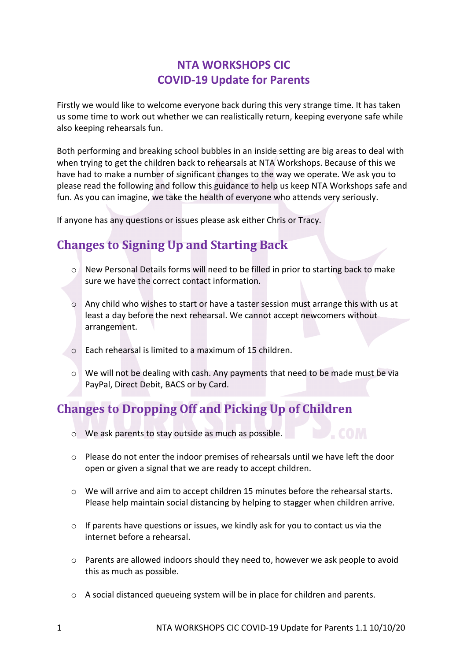### **NTA WORKSHOPS CIC COVID-19 Update for Parents**

Firstly we would like to welcome everyone back during this very strange time. It has taken us some time to work out whether we can realistically return, keeping everyone safe while also keeping rehearsals fun.

Both performing and breaking school bubbles in an inside setting are big areas to deal with when trying to get the children back to rehearsals at NTA Workshops. Because of this we have had to make a number of significant changes to the way we operate. We ask you to please read the following and follow this guidance to help us keep NTA Workshops safe and fun. As you can imagine, we take the health of everyone who attends very seriously.

If anyone has any questions or issues please ask either Chris or Tracy.

## **Changes to Signing Up and Starting Back**

- o New Personal Details forms will need to be filled in prior to starting back to make sure we have the correct contact information.
- o Any child who wishes to start or have a taster session must arrange this with us at least a day before the next rehearsal. We cannot accept newcomers without arrangement.
- o Each rehearsal is limited to a maximum of 15 children.
- o We will not be dealing with cash. Any payments that need to be made must be via PayPal, Direct Debit, BACS or by Card.

# **Changes to Dropping Off and Picking Up of Children**

- o We ask parents to stay outside as much as possible.
- o Please do not enter the indoor premises of rehearsals until we have left the door open or given a signal that we are ready to accept children.
- o We will arrive and aim to accept children 15 minutes before the rehearsal starts. Please help maintain social distancing by helping to stagger when children arrive.
- o If parents have questions or issues, we kindly ask for you to contact us via the internet before a rehearsal.
- o Parents are allowed indoors should they need to, however we ask people to avoid this as much as possible.
- o A social distanced queueing system will be in place for children and parents.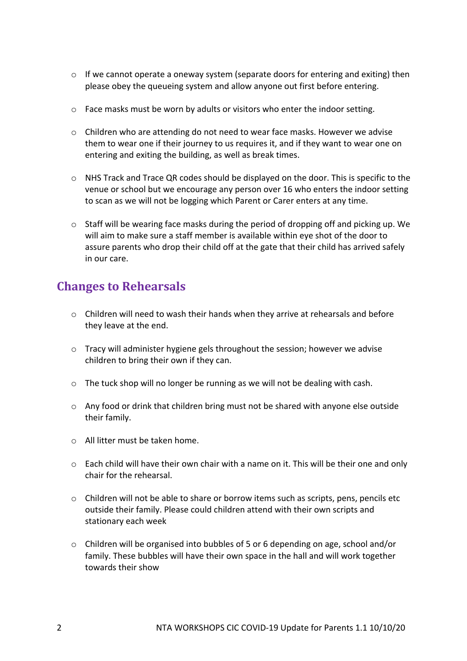- $\circ$  If we cannot operate a oneway system (separate doors for entering and exiting) then please obey the queueing system and allow anyone out first before entering.
- $\circ$  Face masks must be worn by adults or visitors who enter the indoor setting.
- $\circ$  Children who are attending do not need to wear face masks. However we advise them to wear one if their journey to us requires it, and if they want to wear one on entering and exiting the building, as well as break times.
- $\circ$  NHS Track and Trace QR codes should be displayed on the door. This is specific to the venue or school but we encourage any person over 16 who enters the indoor setting to scan as we will not be logging which Parent or Carer enters at any time.
- $\circ$  Staff will be wearing face masks during the period of dropping off and picking up. We will aim to make sure a staff member is available within eye shot of the door to assure parents who drop their child off at the gate that their child has arrived safely in our care.

### **Changes to Rehearsals**

- $\circ$  Children will need to wash their hands when they arrive at rehearsals and before they leave at the end.
- o Tracy will administer hygiene gels throughout the session; however we advise children to bring their own if they can.
- $\circ$  The tuck shop will no longer be running as we will not be dealing with cash.
- o Any food or drink that children bring must not be shared with anyone else outside their family.
- o All litter must be taken home.
- o Each child will have their own chair with a name on it. This will be their one and only chair for the rehearsal.
- o Children will not be able to share or borrow items such as scripts, pens, pencils etc outside their family. Please could children attend with their own scripts and stationary each week
- o Children will be organised into bubbles of 5 or 6 depending on age, school and/or family. These bubbles will have their own space in the hall and will work together towards their show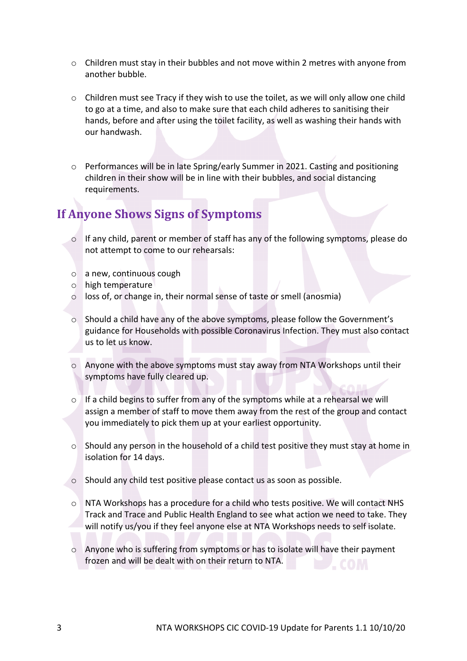- $\circ$  Children must stay in their bubbles and not move within 2 metres with anyone from another bubble.
- o Children must see Tracy if they wish to use the toilet, as we will only allow one child to go at a time, and also to make sure that each child adheres to sanitising their hands, before and after using the toilet facility, as well as washing their hands with our handwash.
- o Performances will be in late Spring/early Summer in 2021. Casting and positioning children in their show will be in line with their bubbles, and social distancing requirements.

### **If Anyone Shows Signs of Symptoms**

- o If any child, parent or member of staff has any of the following symptoms, please do not attempt to come to our rehearsals:
- o a new, continuous cough
- o high temperature
- o loss of, or change in, their normal sense of taste or smell (anosmia)
- o Should a child have any of the above symptoms, please follow the Government's guidance for Households with possible Coronavirus Infection. They must also contact us to let us know.
- $\circ$  Anyone with the above symptoms must stay away from NTA Workshops until their symptoms have fully cleared up.
- o If a child begins to suffer from any of the symptoms while at a rehearsal we will assign a member of staff to move them away from the rest of the group and contact you immediately to pick them up at your earliest opportunity.
- o Should any person in the household of a child test positive they must stay at home in isolation for 14 days.
- o Should any child test positive please contact us as soon as possible.
- $\circ$  NTA Workshops has a procedure for a child who tests positive. We will contact NHS Track and Trace and Public Health England to see what action we need to take. They will notify us/you if they feel anyone else at NTA Workshops needs to self isolate.
- o Anyone who is suffering from symptoms or has to isolate will have their payment frozen and will be dealt with on their return to NTA.